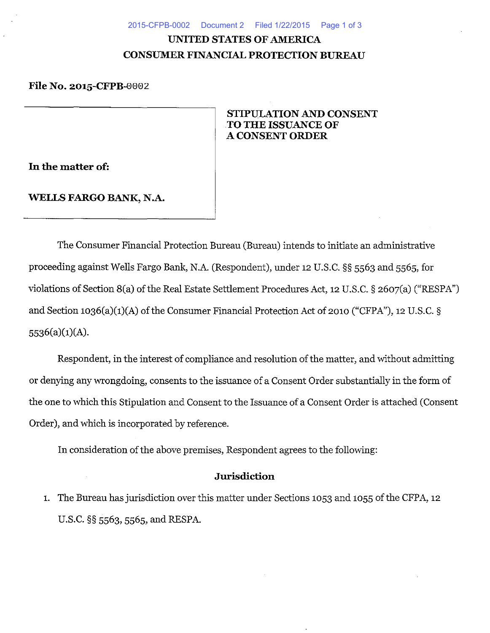#### 2015-CFPB-0002 Document 2 Filed 1/22/2015 Page 1 of 3

# **UNITED STATES OF AMERICA CONSUMER FINANCIAL PROTECTION BUREAU**

# **File No. 2015-CFPB-**0002

# **STIPULATION AND CONSENT .TO THE ISSUANCE OF A CONSENT ORDER**

**In the matter of:** 

### **WELLS FARGO BANK,** N.A.

The Consumer Financial Protection Bureau (Bureau) intends to initiate an administrative proceeding against Wells Fargo Bank, N.A. (Respondent), under 12 U.S.C. §§ 5563 and 5565, for violations of Section 8(a) of the Real Estate Settlement Procedures Act, 12 U.S. C. § 2607(a) ("RESPA") and Section 1036(a)(1)(A) of the Consumer Financial Protection Act of 2010 ("CFPA"), 12 U.S.C. § 5536(a)(1)(A).

Respondent, in the interest of compliance and resolution of the matter, and without admitting or denying any wrongdoing, consents to the issuance of a Consent Order substantially in the form of the one to which this Stipulation and Consent to the Issuance of a Consent Order is attached (Consent Order), and which is incorporated by reference.

In consideration of the above premises, Respondent agrees to the following:

#### **Jurisdiction**

1. The Bureau has jurisdiction over this matter under Sections 1053 and 1055 of the CFPA, 12 U.S.C. §§ 5563, 5565, and RESPA.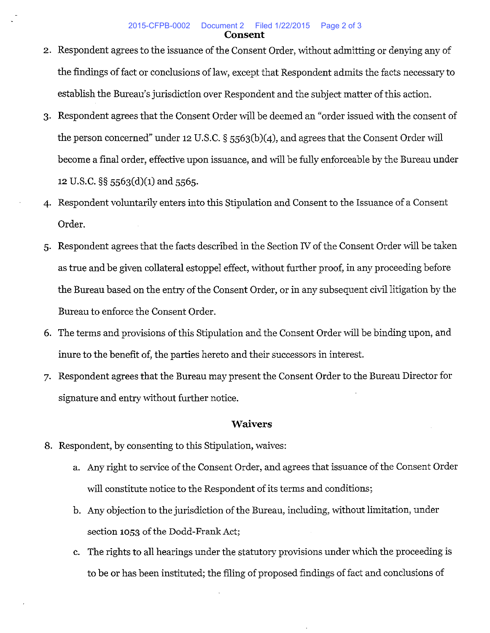- 2. Respondent agrees to the issuance of the Consent Order, without admitting or denying any of the findings of fact or conclusions of law, except that Respondent admits the facts necessary to establish the Bureau's jurisdiction over Respondent and the subject matter of this action.
- 3· Respondent agrees that the Consent Order will be deemed an "order issued with the consent of the person concerned" under 12 U.S.C. § 5563(b)(4), and agrees that the Consent Order will become a final order, effective upon issuance, and will be fully enforceable by the Bureau under 12 U.S.C.  $\S$ § 5563(d)(1) and 5565.
- 4· Respondent voluntarily enters into this Stipulation and Consent to the Issuance of a Consent Order.
- 5· Respondent agrees that the facts described in the Section N of the Consent Order will be taken as true and be given collateral estoppel effect, without further proof, in any proceeding before the Bureau based on the entry of the Consent Order, or in any subsequent civil litigation by the Bureau to enforce the Consent Order.
- 6. The terms and provisions of this Stipulation and the Consent Order will be binding upon, and inure to the benefit of, the parties hereto and their successors in interest.
- 7· Respondent agrees that the Bureau may present the Consent Order to the Bureau Director for signature and entry without further notice.

## **Waivers**

- 8. Respondent, by consenting to this Stipulation, waives:
	- a. Any right to service of the Consent Order, and agrees that issuance of the Consent Order will constitute notice to the Respondent of its terms and conditions;
	- b. Any objection to the jurisdiction of the Bureau, including, without limitation, under section 1053 of the Dodd-Frank Act;
	- c. The rights to all hearings under the statutory provisions under which the proceeding is to be or has been instituted; the filing of proposed findings of fact and conclusions of